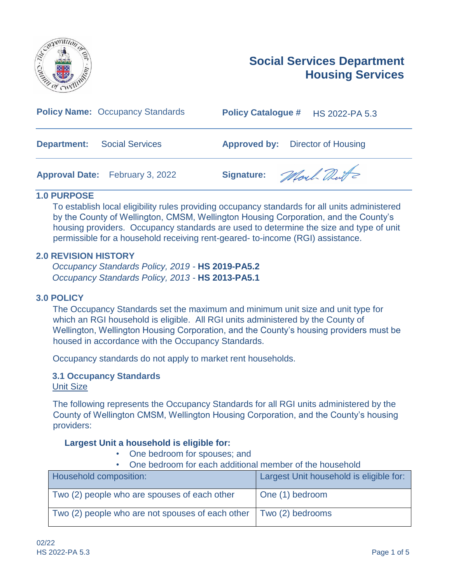

# **Social Services Department Housing Services**

| <b>Policy Name: Occupancy Standards</b>      | <b>Policy Catalogue #</b><br><b>HS 2022-PA 5.3</b> |
|----------------------------------------------|----------------------------------------------------|
| <b>Department:</b><br><b>Social Services</b> | <b>Approved by:</b> Director of Housing            |
| <b>Approval Date:</b> February 3, 2022       | Signature: Mort Dute                               |

## **1.0 PURPOSE**

To establish local eligibility rules providing occupancy standards for all units administered by the County of Wellington, CMSM, Wellington Housing Corporation, and the County's housing providers. Occupancy standards are used to determine the size and type of unit permissible for a household receiving rent-geared- to-income (RGI) assistance.

## **2.0 REVISION HISTORY**

*Occupancy Standards Policy, 2019 -* **HS 2019-PA5.2** *Occupancy Standards Policy, 2013 -* **HS 2013-PA5.1**

#### **3.0 POLICY**

The Occupancy Standards set the maximum and minimum unit size and unit type for which an RGI household is eligible. All RGI units administered by the County of Wellington, Wellington Housing Corporation, and the County's housing providers must be housed in accordance with the Occupancy Standards.

Occupancy standards do not apply to market rent households.

## **3.1 Occupancy Standards**

Unit Size

The following represents the Occupancy Standards for all RGI units administered by the County of Wellington CMSM, Wellington Housing Corporation, and the County's housing providers:

## **Largest Unit a household is eligible for:**

- One bedroom for spouses; and
- One bedroom for each additional member of the household

| Household composition:                           | Largest Unit household is eligible for: |
|--------------------------------------------------|-----------------------------------------|
| Two (2) people who are spouses of each other     | One (1) bedroom                         |
| Two (2) people who are not spouses of each other | Two (2) bedrooms                        |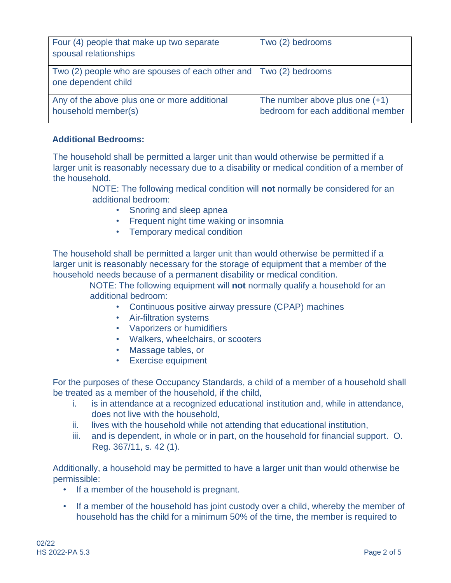| Four (4) people that make up two separate<br>spousal relationships                       | Two (2) bedrooms                                                       |
|------------------------------------------------------------------------------------------|------------------------------------------------------------------------|
| Two (2) people who are spouses of each other and Two (2) bedrooms<br>one dependent child |                                                                        |
| Any of the above plus one or more additional<br>household member(s)                      | The number above plus one $(+1)$<br>bedroom for each additional member |

## **Additional Bedrooms:**

The household shall be permitted a larger unit than would otherwise be permitted if a larger unit is reasonably necessary due to a disability or medical condition of a member of the household.

> NOTE: The following medical condition will **not** normally be considered for an additional bedroom:

- Snoring and sleep apnea
- Frequent night time waking or insomnia
- Temporary medical condition

The household shall be permitted a larger unit than would otherwise be permitted if a larger unit is reasonably necessary for the storage of equipment that a member of the household needs because of a permanent disability or medical condition.

NOTE: The following equipment will **not** normally qualify a household for an additional bedroom:

- Continuous positive airway pressure (CPAP) machines
- Air-filtration systems
- Vaporizers or humidifiers
- Walkers, wheelchairs, or scooters
- Massage tables, or
- Exercise equipment

For the purposes of these Occupancy Standards, a child of a member of a household shall be treated as a member of the household, if the child,

- i. is in attendance at a recognized educational institution and, while in attendance, does not live with the household,
- ii. lives with the household while not attending that educational institution,
- iii. and is dependent, in whole or in part, on the household for financial support. O. Reg. 367/11, s. 42 (1).

Additionally, a household may be permitted to have a larger unit than would otherwise be permissible:

- If a member of the household is pregnant.
- If a member of the household has joint custody over a child, whereby the member of household has the child for a minimum 50% of the time, the member is required to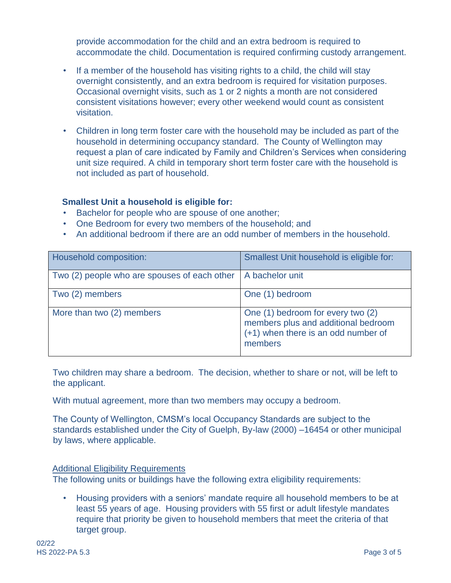provide accommodation for the child and an extra bedroom is required to accommodate the child. Documentation is required confirming custody arrangement.

- If a member of the household has visiting rights to a child, the child will stay overnight consistently, and an extra bedroom is required for visitation purposes. Occasional overnight visits, such as 1 or 2 nights a month are not considered consistent visitations however; every other weekend would count as consistent visitation.
- Children in long term foster care with the household may be included as part of the household in determining occupancy standard. The County of Wellington may request a plan of care indicated by Family and Children's Services when considering unit size required. A child in temporary short term foster care with the household is not included as part of household.

## **Smallest Unit a household is eligible for:**

- Bachelor for people who are spouse of one another;
- One Bedroom for every two members of the household; and
- An additional bedroom if there are an odd number of members in the household.

| Household composition:                       | Smallest Unit household is eligible for:                                                                                   |
|----------------------------------------------|----------------------------------------------------------------------------------------------------------------------------|
| Two (2) people who are spouses of each other | A bachelor unit                                                                                                            |
| Two (2) members                              | One (1) bedroom                                                                                                            |
| More than two (2) members                    | One (1) bedroom for every two (2)<br>members plus and additional bedroom<br>(+1) when there is an odd number of<br>members |

Two children may share a bedroom. The decision, whether to share or not, will be left to the applicant.

With mutual agreement, more than two members may occupy a bedroom.

The County of Wellington, CMSM's local Occupancy Standards are subject to the standards established under the City of Guelph, By-law (2000) –16454 or other municipal by laws, where applicable.

#### Additional Eligibility Requirements

The following units or buildings have the following extra eligibility requirements:

• Housing providers with a seniors' mandate require all household members to be at least 55 years of age. Housing providers with 55 first or adult lifestyle mandates require that priority be given to household members that meet the criteria of that target group.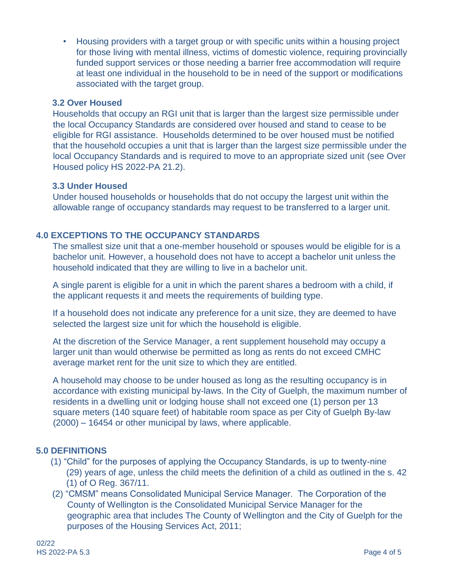• Housing providers with a target group or with specific units within a housing project for those living with mental illness, victims of domestic violence, requiring provincially funded support services or those needing a barrier free accommodation will require at least one individual in the household to be in need of the support or modifications associated with the target group.

## **3.2 Over Housed**

Households that occupy an RGI unit that is larger than the largest size permissible under the local Occupancy Standards are considered over housed and stand to cease to be eligible for RGI assistance. Households determined to be over housed must be notified that the household occupies a unit that is larger than the largest size permissible under the local Occupancy Standards and is required to move to an appropriate sized unit (see Over Housed policy HS 2022-PA 21.2).

#### **3.3 Under Housed**

Under housed households or households that do not occupy the largest unit within the allowable range of occupancy standards may request to be transferred to a larger unit.

## **4.0 EXCEPTIONS TO THE OCCUPANCY STANDARDS**

The smallest size unit that a one-member household or spouses would be eligible for is a bachelor unit. However, a household does not have to accept a bachelor unit unless the household indicated that they are willing to live in a bachelor unit.

A single parent is eligible for a unit in which the parent shares a bedroom with a child, if the applicant requests it and meets the requirements of building type.

If a household does not indicate any preference for a unit size, they are deemed to have selected the largest size unit for which the household is eligible.

At the discretion of the Service Manager, a rent supplement household may occupy a larger unit than would otherwise be permitted as long as rents do not exceed CMHC average market rent for the unit size to which they are entitled.

A household may choose to be under housed as long as the resulting occupancy is in accordance with existing municipal by-laws. In the City of Guelph, the maximum number of residents in a dwelling unit or lodging house shall not exceed one (1) person per 13 square meters (140 square feet) of habitable room space as per City of Guelph By-law (2000) – 16454 or other municipal by laws, where applicable.

## **5.0 DEFINITIONS**

- (1) "Child" for the purposes of applying the Occupancy Standards, is up to twenty-nine (29) years of age, unless the child meets the definition of a child as outlined in the s. 42 (1) of O Reg. 367/11.
- (2) "CMSM" means Consolidated Municipal Service Manager. The Corporation of the County of Wellington is the Consolidated Municipal Service Manager for the geographic area that includes The County of Wellington and the City of Guelph for the purposes of the Housing Services Act, 2011;